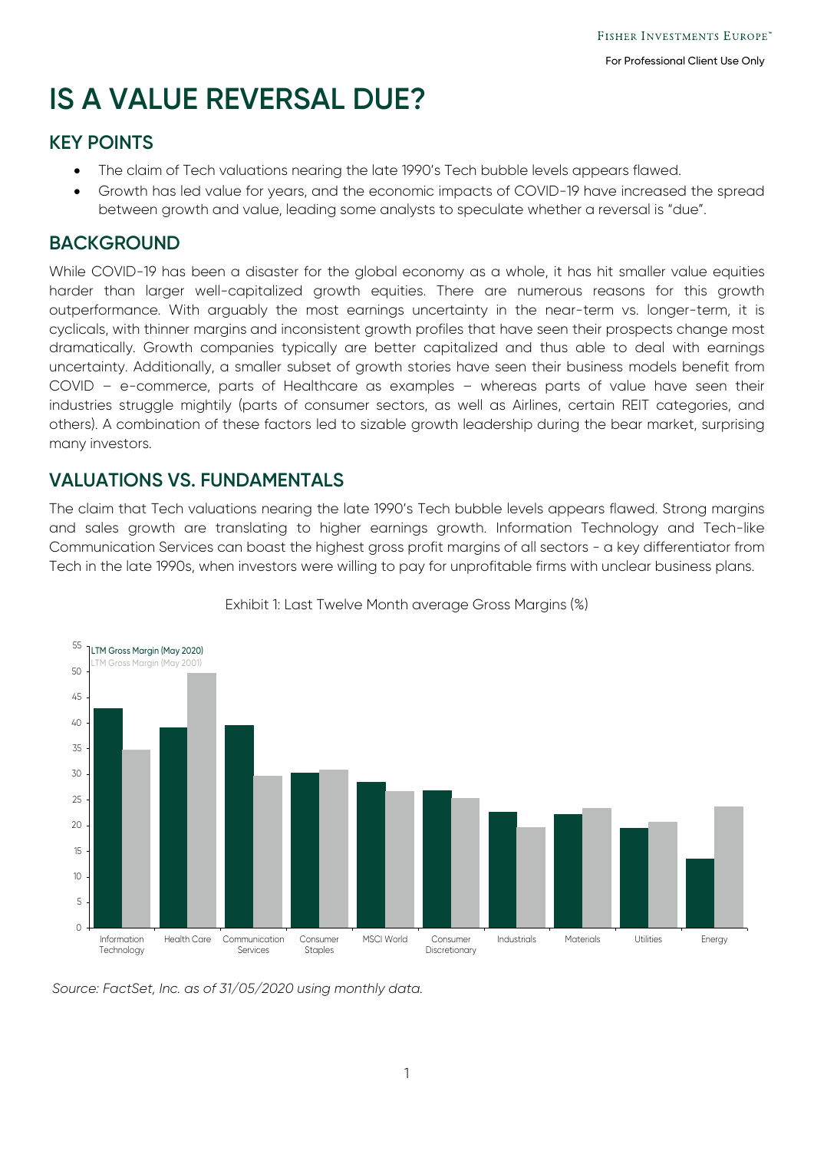# **IS A VALUE REVERSAL DUE?**

### **KEY POINTS**

- The claim of Tech valuations nearing the late 1990's Tech bubble levels appears flawed.
- Growth has led value for years, and the economic impacts of COVID-19 have increased the spread between growth and value, leading some analysts to speculate whether a reversal is "due".

#### **BACKGROUND**

While COVID-19 has been a disaster for the global economy as a whole, it has hit smaller value equities harder than larger well-capitalized growth equities. There are numerous reasons for this growth outperformance. With arguably the most earnings uncertainty in the near-term vs. longer-term, it is cyclicals, with thinner margins and inconsistent growth profiles that have seen their prospects change most dramatically. Growth companies typically are better capitalized and thus able to deal with earnings uncertainty. Additionally, a smaller subset of growth stories have seen their business models benefit from COVID – e-commerce, parts of Healthcare as examples – whereas parts of value have seen their industries struggle mightily (parts of consumer sectors, as well as Airlines, certain REIT categories, and others). A combination of these factors led to sizable growth leadership during the bear market, surprising many investors.

#### **VALUATIONS VS. FUNDAMENTALS**

The claim that Tech valuations nearing the late 1990's Tech bubble levels appears flawed. Strong margins and sales growth are translating to higher earnings growth. Information Technology and Tech-like Communication Services can boast the highest gross profit margins of all sectors - a key differentiator from Tech in the late 1990s, when investors were willing to pay for unprofitable firms with unclear business plans.



Exhibit 1: Last Twelve Month average Gross Margins (%)

*Source: FactSet, Inc. as of 31/05/2020 using monthly data.*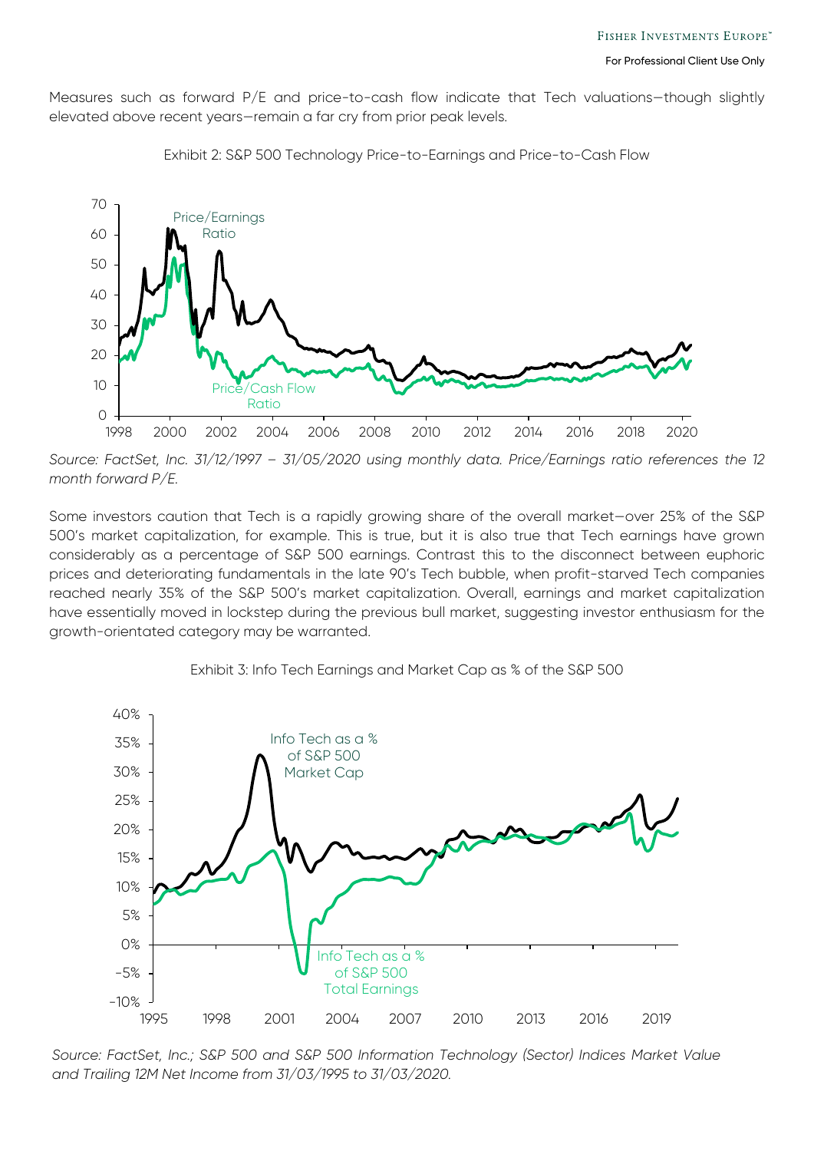Measures such as forward P/E and price-to-cash flow indicate that Tech valuations-though slightly elevated above recent years—remain a far cry from prior peak levels.



Exhibit 2: S&P 500 Technology Price-to-Earnings and Price-to-Cash Flow

*Source: FactSet, Inc. 31/12/1997 – 31/05/2020 using monthly data. Price/Earnings ratio references the 12 month forward P/E.*

Some investors caution that Tech is a rapidly growing share of the overall market—over 25% of the S&P 500's market capitalization, for example. This is true, but it is also true that Tech earnings have grown considerably as a percentage of S&P 500 earnings. Contrast this to the disconnect between euphoric prices and deteriorating fundamentals in the late 90's Tech bubble, when profit-starved Tech companies reached nearly 35% of the S&P 500's market capitalization. Overall, earnings and market capitalization have essentially moved in lockstep during the previous bull market, suggesting investor enthusiasm for the growth-orientated category may be warranted.



Exhibit 3: Info Tech Earnings and Market Cap as % of the S&P 500

2 *and Trailing 12M Net Income from 31/03/1995 to 31/03/2020.Source: FactSet, Inc.; S&P 500 and S&P 500 Information Technology (Sector) Indices Market Value*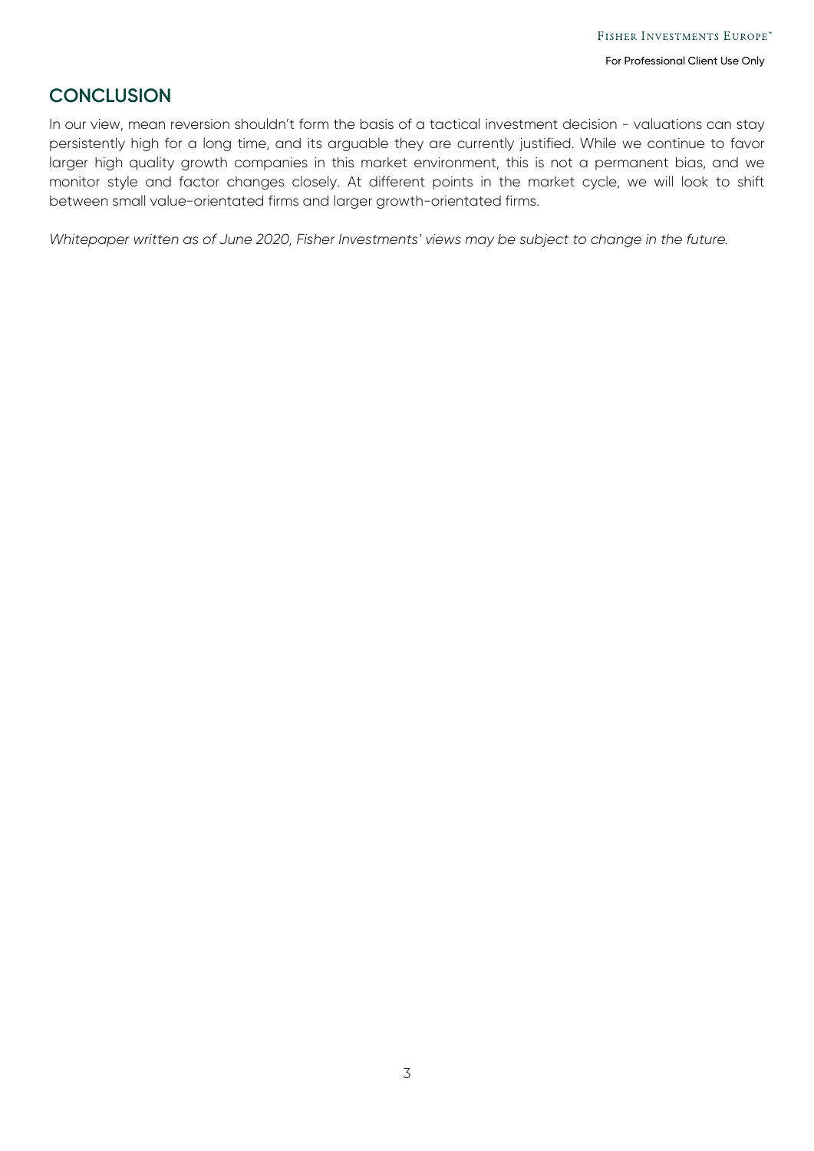#### **CONCLUSION**

In our view, mean reversion shouldn't form the basis of a tactical investment decision - valuations can stay persistently high for a long time, and its arguable they are currently justified. While we continue to favor larger high quality growth companies in this market environment, this is not a permanent bias, and we monitor style and factor changes closely. At different points in the market cycle, we will look to shift between small value-orientated firms and larger growth-orientated firms.

*Whitepaper written as of June 2020, Fisher Investments' views may be subject to change in the future.*